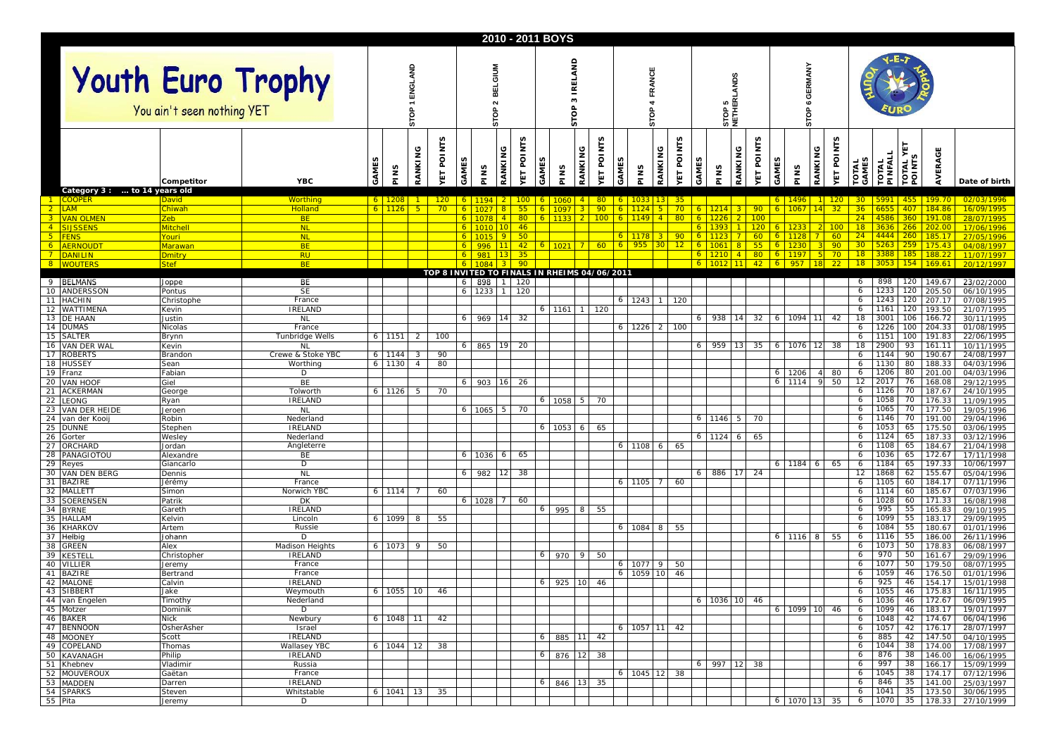|                                          |                               |                              |             |             |                |                                              |                  |                                  |                |                   |              | 2010 - 2011 BOYS         |                 |                   |                |                      |                |                               |                |                                  |                   |       |                |                                       |                      |                       |                  |                        |                  |                          |
|------------------------------------------|-------------------------------|------------------------------|-------------|-------------|----------------|----------------------------------------------|------------------|----------------------------------|----------------|-------------------|--------------|--------------------------|-----------------|-------------------|----------------|----------------------|----------------|-------------------------------|----------------|----------------------------------|-------------------|-------|----------------|---------------------------------------|----------------------|-----------------------|------------------|------------------------|------------------|--------------------------|
| Youth Euro Trophy                        | You ain't seen nothing YET    |                              |             |             | ք<br><b>in</b> |                                              |                  | Ξ<br>ō<br>띪<br>$\sim$<br>å<br>Ö۵ |                |                   |              | LAND<br>ш<br>≃<br>ო<br>o | ï۵              |                   |                | FRANCE<br>င်္င<br>ċ۵ |                |                               |                | <b>ANDS</b><br>STOP 5<br>NETHERL |                   |       | ల<br>င္ငံ      | ERMANY<br>$\boldsymbol{\omega}$<br>ċ۵ |                      |                       |                  |                        |                  |                          |
|                                          | Competitor                    | <b>YBC</b>                   | <b>GAME</b> | PINS        | RANKING        | <b>POINTS</b><br>YET                         | s<br><b>GAME</b> | PINS                             | RANKING        | w<br>POINT<br>YET | <b>GAMES</b> | PINS                     | RANKING         | n<br>POINT<br>YЕT | GAMES          | PINS                 | RANKING        | <b>POINTS</b><br>YET          | GAMES          | RANKING<br>PINS                  | n<br>POINT<br>YЕT | GAMES | PINS           | RANKING                               | <b>POINTS</b><br>уET | <b>TOTAL</b><br>GAMES | TOTAL<br>PINFALL | 급<br>TOTAL Y<br>POINTS | ERAGE            | Date of birth            |
| Category 3:  to 14 years old<br>1 COOPER | David                         | Worthing                     |             | 6 1208      |                | 1 120 6 1194 2                               |                  |                                  |                |                   |              | <u>100 6 1060 4  </u>    |                 |                   |                | 80 6 1033 13         |                | $35$                          |                |                                  |                   |       | 6 1496 1 120   |                                       |                      | 30 <sup>o</sup>       |                  |                        | 5991 455 199.70  | 02/03/1996               |
| $2$ LAM                                  | Chiwah                        | <b>Holland</b>               | $\epsilon$  | <b>1126</b> | 5 <sub>1</sub> | 70 <sub>1</sub>                              | 6 <sup>1</sup>   | 1027                             | 8              | $55$ 6            |              | $1097$ 3                 |                 | 90                | 6 <sup>6</sup> | $1124$ 5             |                |                               |                | <mark>70   6   1214   3</mark>   | 90                | -6    | 1067           |                                       | 32 <sub>2</sub>      | 36                    | 6655             | <b>40</b>              | 184.86           | 16/09/1995               |
| 3 VAN OLMEN                              | Zeb.                          | <b>BE</b>                    |             |             |                |                                              | 6 <sup>1</sup>   | 1078                             |                | $80\quad6$        |              | 1133                     |                 | 100               | 6 <sup>1</sup> | 1149                 | $\overline{4}$ | $80-1$                        | $6 \mid$       | 1226                             | 100               |       |                |                                       |                      | 24                    | 4586             | 360                    | 191.08           | 28/07/1995               |
| 4 SIJSSENS                               | <b>Mitchell</b>               | <b>NL</b>                    |             |             |                |                                              | 6                | 1010                             |                | 46 <sup>°</sup>   |              |                          |                 |                   | 6.             | 1178                 |                |                               | $6$   1393     |                                  | $120$ 6           |       | <u> 1233</u>   |                                       | 100                  | 18 <br>24             | 3636<br>4444     | -266<br><b>260</b>     | 202.00<br>185.17 | 17/06/1996               |
| 5 FENS<br>6 AERNOUDT                     | Youri<br><mark>Marawan</mark> | <b>NL</b><br><b>BE</b>       |             |             |                |                                              |                  |                                  |                | 50 <sup>°</sup>   |              | 42 6 1021                |                 | $60 -$            | -6             | 955                  |                | $90\quad6$<br>12 <sub>1</sub> | 6 <sup>1</sup> |                                  | 60<br>55          |       |                |                                       | 60<br>$90-1$         | 30 <sup>°</sup>       |                  |                        | 175.43           | 27/05/1996<br>04/08/1997 |
| 7 DANILIN                                | Dmitry                        | <b>RU</b>                    |             |             |                |                                              | 6                |                                  |                | $35 -$            |              |                          |                 |                   |                |                      |                |                               | 6 1210         | $\overline{4}$                   | 80                | 6.    | 1197           |                                       | 70 -                 | $ 18\rangle$          |                  |                        | <u> 188.22</u>   | 11/07/1997               |
| 8 WOUTERS                                | Stef                          | <b>BE</b>                    |             |             |                |                                              | 6 <sup>1</sup>   | 1084                             | 3.             | 90                |              |                          |                 |                   |                |                      |                |                               | -6             |                                  | 42                |       | 957            | 18                                    | 22                   | 18                    |                  |                        | $169.6^{\circ}$  | 20/12/1997               |
|                                          |                               |                              |             |             |                | TOP 8 INVITED TO FINALS IN RHEIMS 04/06/2011 |                  |                                  |                |                   |              |                          |                 |                   |                |                      |                |                               |                |                                  |                   |       |                |                                       |                      |                       |                  |                        |                  |                          |
| 9 BELMANS<br>10 ANDERSSON                | Joppe<br>Pontus               | BE<br><b>SE</b>              |             |             |                |                                              | 6<br>6           | 898<br>1233                      | $\mathbf{1}$   | 120<br>120        |              |                          |                 |                   |                |                      |                |                               |                |                                  |                   |       |                |                                       |                      | 6<br>6                | 898<br>1233      | 120<br>120             | 149.67<br>205.50 | 23/02/2000<br>06/10/1995 |
| 11 HACHIN                                | Christophe                    | France                       |             |             |                |                                              |                  |                                  |                |                   |              |                          |                 |                   | 6              | $1243$ 1             |                | 120                           |                |                                  |                   |       |                |                                       |                      | 6                     | 1243             | 120                    | 207.17           | 07/08/1995               |
| 12 WATTIMENA                             | Kevin                         | <b>IRELAND</b>               |             |             |                |                                              |                  |                                  |                |                   |              | $6 \mid 1161$            | $\overline{1}$  | 120               |                |                      |                |                               |                |                                  |                   |       |                |                                       |                      | 6                     | 1161             | 120                    | 193.50           | 21/07/1995               |
| 13 DE HAAN                               | Justin                        | <b>NL</b>                    |             |             |                |                                              | 6                | 969 14                           |                | 32                |              |                          |                 |                   |                |                      |                |                               | $6 \mid 938$   | 14                               | 32                | 6     | 1094 11        |                                       | 42                   | 18                    | 3001             | 106                    | 166.72           | 30/11/1995               |
| 14 DUMAS<br>15 SALTER                    | Nicolas                       | France                       |             |             |                |                                              |                  |                                  |                |                   |              |                          |                 |                   | 6              | $1226$ 2             |                | 100                           |                |                                  |                   |       |                |                                       |                      | 6<br>6                | 1226<br>1151     | 100<br>100             | 204.33           | 01/08/1995               |
| 16 VAN DER WAL                           | Brynn<br>Kevin                | Tunbridge Wells<br><b>NL</b> |             | $6$   1151  | 2              | 100                                          | 6                | 865 19                           |                | 20                |              |                          |                 |                   |                |                      |                |                               | 6              | 959<br>13                        | 35                | 6     | 1076 12        |                                       | 38                   | 18                    | 2900             | 93                     | 191.83<br>161.11 | 22/06/1995<br>10/11/1995 |
| 17 ROBERTS                               | Brandon                       | Crewe & Stoke YBC            | 6           | 1144        | 3              | 90                                           |                  |                                  |                |                   |              |                          |                 |                   |                |                      |                |                               |                |                                  |                   |       |                |                                       |                      | 6                     | 1144             | 90                     | 190.67           | 24/08/1997               |
| 18 HUSSEY                                | Sean                          | Worthing                     | 6           | 1130        | $\overline{4}$ | 80                                           |                  |                                  |                |                   |              |                          |                 |                   |                |                      |                |                               |                |                                  |                   |       |                |                                       |                      | 6                     | 1130             | 80                     | 188.33           | 04/03/1996               |
| 19 Franz                                 | Fabian                        | D                            |             |             |                |                                              |                  |                                  |                |                   |              |                          |                 |                   |                |                      |                |                               |                |                                  |                   |       | 6 1206         | 4                                     | 80                   | 6                     | 1206             | 80                     | 201.00           | 04/03/1996               |
| 20 VAN HOOF                              | Giel                          | BE                           |             |             |                |                                              | 6                | 903 16 26                        |                |                   |              |                          |                 |                   |                |                      |                |                               |                |                                  |                   |       | 6 1114         | 9                                     | 50                   | 12                    | 2017<br>1126     | 76<br>70               | 168.08           | 29/12/1995<br>24/10/1995 |
| 21 ACKERMAN<br>22 LEONG                  | George<br>Ryan                | Tolworth<br><b>IRELAND</b>   | 6           | 1126        | 5              | 70                                           |                  |                                  |                |                   |              | 6 1058                   | 5               | 70                |                |                      |                |                               |                |                                  |                   |       |                |                                       |                      | 6<br>6                | 1058             | 70                     | 187.67<br>176.33 | 11/09/1995               |
| 23 VAN DER HEIDE                         | Jeroen                        | <b>NL</b>                    |             |             |                |                                              | 6                | 1065 5                           |                | 70                |              |                          |                 |                   |                |                      |                |                               |                |                                  |                   |       |                |                                       |                      | 6                     | 1065             | 70                     | 177.50           | 19/05/1996               |
| 24 van der Kooi                          | Robin                         | Nederland                    |             |             |                |                                              |                  |                                  |                |                   |              |                          |                 |                   |                |                      |                |                               |                | 6 1146 5                         | 70                |       |                |                                       |                      | 6                     | 1146             | 70                     | 191.00           | 29/04/1996               |
| 25 DUNNE                                 | Stephen                       | IRELAND                      |             |             |                |                                              |                  |                                  |                |                   |              | 6 1053 6                 |                 | 65                |                |                      |                |                               |                |                                  |                   |       |                |                                       |                      | 6                     | 1053             | 65                     | 175.50           | 03/06/1995               |
| 26 Gorter                                | Wesley                        | Nederland                    |             |             |                |                                              |                  |                                  |                |                   |              |                          |                 |                   |                |                      |                |                               | 6 1124         | 6                                | 65                |       |                |                                       |                      | 6                     | 1124             | 65                     | 187.33           | 03/12/1996               |
| 27 ORCHARD<br>28 PANAGIOTOU              | Jordan<br>Alexandre           | Angleterre<br>BE             |             |             |                |                                              | 6                | 1036 6                           |                | 65                |              |                          |                 |                   | 6              | 1108 6               |                | 65                            |                |                                  |                   |       |                |                                       |                      | 6<br>6                | 1108<br>1036     | 65<br>65               | 184.67<br>172.67 | 21/04/1998<br>17/11/1998 |
| 29 Reyes                                 | Giancarlo                     | D                            |             |             |                |                                              |                  |                                  |                |                   |              |                          |                 |                   |                |                      |                |                               |                |                                  |                   |       | 6 1184 6       |                                       | 65                   | 6                     | 1184             | 65                     | 197.33           | 10/06/1997               |
| 30 VAN DEN BERG                          | Dennis                        | <b>NL</b>                    |             |             |                |                                              | 6                | 982 12                           |                | 38                |              |                          |                 |                   |                |                      |                |                               |                | 6 886 17                         | - 24              |       |                |                                       |                      | 12                    | 1868             | 62                     | 155.67           | 05/04/1996               |
| 31 BAZIRE                                | Jérémy                        | France                       |             |             |                |                                              |                  |                                  |                |                   |              |                          |                 |                   | 6              | 1105 7               |                | 60                            |                |                                  |                   |       |                |                                       |                      | 6                     | 1105             | 60                     | 184.17           | 07/11/1996               |
| 32 MALLETT                               | Simon                         | Norwich YBC                  | 6           | 1114        | $\overline{7}$ | 60                                           |                  |                                  |                |                   |              |                          |                 |                   |                |                      |                |                               |                |                                  |                   |       |                |                                       |                      | 6                     | 1114             | 60                     | 185.67           | 07/03/1996               |
| 33 SOERENSEN<br>34 BYRNE                 | Patrik<br>Gareth              | DK<br><b>IRELAND</b>         |             |             |                |                                              | 6                | 1028                             | $\overline{7}$ | 60                |              | $6$ 995 8 55             |                 |                   |                |                      |                |                               |                |                                  |                   |       |                |                                       |                      | 6<br>6                | 1028<br>995      | 60<br>55               | 171.33<br>165.83 | 16/08/1998<br>09/10/1995 |
| 35 HALLAM                                | Kelvin                        | Lincoln                      | 6           | 1099        | 8              | 55                                           |                  |                                  |                |                   |              |                          |                 |                   |                |                      |                |                               |                |                                  |                   |       |                |                                       |                      | 6                     | 1099             | 55                     | 183.17           | 29/09/1995               |
| 36 KHARKO'                               | Artem                         | Russie                       |             |             |                |                                              |                  |                                  |                |                   |              |                          |                 |                   | 6.             | 1084 8               |                | -55                           |                |                                  |                   |       |                |                                       |                      | 6                     | 1084             | 55                     | 180.67           | 01/01/1996               |
| 37 Helbig                                | Johann                        | D                            |             |             |                |                                              |                  |                                  |                |                   |              |                          |                 |                   |                |                      |                |                               |                |                                  |                   |       | 6 1116 8       |                                       | 55                   | 6                     | 1116             | 55                     | 186.00           | 26/11/1996               |
| 38 GREEN                                 | Alex                          | Madison Heights              |             | 6 1073      | 9              | 50                                           |                  |                                  |                |                   |              |                          |                 |                   |                |                      |                |                               |                |                                  |                   |       |                |                                       |                      | 6                     | 1073             | 50                     | 178.83           | 06/08/1997               |
| 39 KESTELI<br>40 VILLIER                 | Christopher<br>Jeremy         | <b>IRELAND</b><br>France     |             |             |                |                                              |                  |                                  |                |                   |              | 6 970 9                  |                 | 50                | 6              | 1077                 | - 9            | 50                            |                |                                  |                   |       |                |                                       |                      | 6<br>6                | 970<br>1077      | 50<br>50               | 161.67<br>179.50 | 29/09/1996<br>08/07/1995 |
| 41 BAZIRE                                | Bertrand                      | France                       |             |             |                |                                              |                  |                                  |                |                   |              |                          |                 |                   | 6              | 1059 10              |                | 46                            |                |                                  |                   |       |                |                                       |                      | 6                     | 1059             | 46                     | 176.50           | 01/01/1996               |
| 42 MALONE                                | Calvin                        | <b>IRELAND</b>               |             |             |                |                                              |                  |                                  |                |                   | 6            | 925                      | 10 <sup>1</sup> | 46                |                |                      |                |                               |                |                                  |                   |       |                |                                       |                      | 6                     | 925              | 46                     | 154.17           | 15/01/1998               |
| 43 SIBBERT                               | Jake.                         | Weymouth                     |             | 6 1055 10   |                | -46                                          |                  |                                  |                |                   |              |                          |                 |                   |                |                      |                |                               |                |                                  |                   |       |                |                                       |                      |                       |                  | 46                     | 175.83           | 16/11/1995               |
| 44 van Engelen                           | Timothy                       | Nederland                    |             |             |                |                                              |                  |                                  |                |                   |              |                          |                 |                   |                |                      |                |                               |                | 6 1036 10 46                     |                   |       |                |                                       |                      | 6                     |                  |                        | 1036 46 172.67   | 06/09/1995               |
| 45 Motzer<br>46 BAKER                    | Dominik<br>Nick               | D<br>Newbury                 |             | 6 1048      | 11             | 42                                           |                  |                                  |                |                   |              |                          |                 |                   |                |                      |                |                               |                |                                  |                   |       | 6 1099 10 46   |                                       |                      | 6<br>6                | 1099<br>1048     | 46<br>42               | 183.17<br>174.67 | 19/01/1997<br>06/04/1996 |
| 47 BENNOON                               | OsherAsher                    | Israel                       |             |             |                |                                              |                  |                                  |                |                   |              |                          |                 |                   |                | 6 1057 11 42         |                |                               |                |                                  |                   |       |                |                                       |                      | 6                     | 1057             | 42                     | 176.17           | 28/07/1997               |
| 48 MOONEY                                | Scott                         | IRELAND                      |             |             |                |                                              |                  |                                  |                |                   |              | 6 885 11                 |                 | 42                |                |                      |                |                               |                |                                  |                   |       |                |                                       |                      | 6                     | 885              | 42                     | 147.50           | 04/10/1995               |
| 49 COPELAND                              | Thomas                        | <b>Wallasey YBC</b>          |             | 6 1044 12   |                | 38                                           |                  |                                  |                |                   |              |                          |                 |                   |                |                      |                |                               |                |                                  |                   |       |                |                                       |                      | 6                     | 1044             | 38                     | 174.00           | 17/08/1997               |
| 50 KAVANAGH<br>51 Khebnev                | Philip                        | IRELAND                      |             |             |                |                                              |                  |                                  |                |                   |              | $6$ 876 12 38            |                 |                   |                |                      |                |                               |                |                                  |                   |       |                |                                       |                      | 6                     | 876              | 38                     | 146.00           | 16/06/1995               |
| 52 MOUVEROUX                             | Vladimir<br>Gaëtan            | Russia<br>France             |             |             |                |                                              |                  |                                  |                |                   |              |                          |                 |                   | 6              | 1045 12 38           |                |                               |                | 6 997 12 38                      |                   |       |                |                                       |                      | 6<br>6                | 997<br>1045      | 38<br>38               | 166.17<br>174.17 | 15/09/1999<br>07/12/1996 |
| 53 MADDEN                                | Darren                        | IRELAND                      |             |             |                |                                              |                  |                                  |                |                   |              | 6 846 13                 |                 | 35                |                |                      |                |                               |                |                                  |                   |       |                |                                       |                      | 6                     | 846              | 35                     | 141.00           | 25/03/1997               |
| 54 SPARKS                                | Steven                        | Whitstable                   | 6           | 1041 13     |                | 35                                           |                  |                                  |                |                   |              |                          |                 |                   |                |                      |                |                               |                |                                  |                   |       |                |                                       |                      | 6                     | 1041             | 35                     | 173.50           | 30/06/1995               |
| 55 Pita                                  | Jeremy                        | D                            |             |             |                |                                              |                  |                                  |                |                   |              |                          |                 |                   |                |                      |                |                               |                |                                  |                   |       | $6$ 1070 13 35 |                                       |                      | 6                     |                  |                        | 1070 35 178.33   | 27/10/1999               |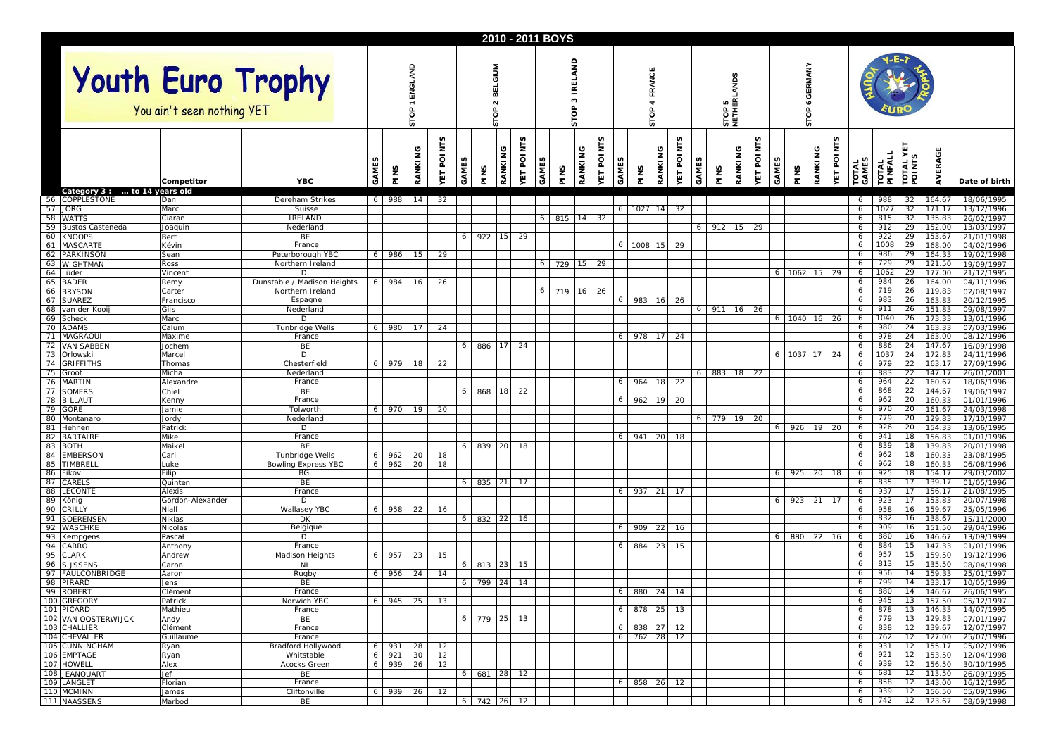|                                                |                                                                                                                                                                                                                                                                                                                                  |                                  |                |          |         |                           |       |               |                                |                          |       | 2010 - 2011 BOYS           |                 |                          |              |                          |         |                           |               |                                  |                          |       |           |                        |                   |                       |                         |                                |                         |                                    |
|------------------------------------------------|----------------------------------------------------------------------------------------------------------------------------------------------------------------------------------------------------------------------------------------------------------------------------------------------------------------------------------|----------------------------------|----------------|----------|---------|---------------------------|-------|---------------|--------------------------------|--------------------------|-------|----------------------------|-----------------|--------------------------|--------------|--------------------------|---------|---------------------------|---------------|----------------------------------|--------------------------|-------|-----------|------------------------|-------------------|-----------------------|-------------------------|--------------------------------|-------------------------|------------------------------------|
|                                                | You ain't seen nothing YET                                                                                                                                                                                                                                                                                                       | Youth Euro Trophy                |                |          | ۰<br>5  |                           |       |               | MUIST<br>ᄑ<br>$\sim$<br>g<br>5 |                          |       | LAND<br>ო<br>$\circ$<br>'n |                 |                          |              | FRANCE<br>g              |         |                           |               | <b>ANDS</b><br>STOP 5<br>NETHERL |                          |       |           | ERMANY<br>ō<br>ဖ<br>ဝီ |                   |                       |                         |                                |                         |                                    |
|                                                | Competitor                                                                                                                                                                                                                                                                                                                       | <b>YBC</b>                       | GAME           | SNId     | RANKING | 'n<br>POINT:<br>$\vec{p}$ | GAMES | PINS          | RANKING                        | n<br><b>POINT</b><br>YET | GAMES | PINS                       | RANKING         | n<br><b>POINT</b><br>УET | GAMES        | PINS                     | RANKING | 'n<br><b>POINT</b><br>ΥEΤ | GAMES<br>PINS | RANKING                          | n<br><b>POINT</b><br>YET | GAMES | PINS      | RANKING                | <b>YET POINTS</b> | <b>TOTAL</b><br>GAMES | <b>TOTAL</b><br>PINFALL | YET<br><b>TOTALY</b><br>POINTS | ш<br>AVERAG             | Date of birth                      |
| Category 3:  to 14 years old<br>56 COPPLESTONE | Dan                                                                                                                                                                                                                                                                                                                              | Dereham Strikes                  | 6              |          | 988 14  | 32                        |       |               |                                |                          |       |                            |                 |                          |              |                          |         |                           |               |                                  |                          |       |           |                        |                   | 6                     | 988                     | 32                             | 164.67                  | 18/06/1995                         |
| 57 JORG                                        | Marc                                                                                                                                                                                                                                                                                                                             | Suisse                           |                |          |         |                           |       |               |                                |                          |       |                            |                 |                          | 6            | 1027 14                  |         | 32                        |               |                                  |                          |       |           |                        |                   | 6                     | 1027                    | 32                             | 171.17                  | 13/12/1996                         |
| 58 WATTS                                       | Ciaran                                                                                                                                                                                                                                                                                                                           | <b>IRELAND</b>                   |                |          |         |                           |       |               |                                |                          | 6     | 815                        | 14              | 32                       |              |                          |         |                           |               |                                  |                          |       |           |                        |                   | 6                     | 815                     | 32                             | 135.83                  | 26/02/1997                         |
| 59 Bustos Casteneda<br>60 KNOOPS               | Joaquin<br>Bert                                                                                                                                                                                                                                                                                                                  | Nederland<br>BE                  |                |          |         |                           | 6     | 922           | 15 <sub>1</sub>                | 29                       |       |                            |                 |                          |              |                          |         |                           |               |                                  | $6$   912   15   29      |       |           |                        |                   | 6<br>6                | 912<br>922              | 29<br>29                       | 152.00<br>153.67        | 13/03/1997<br>21/01/1998           |
| 61<br>MASCARTE                                 | Kévin                                                                                                                                                                                                                                                                                                                            | France                           |                |          |         |                           |       |               |                                |                          |       |                            |                 |                          | 6            | 1008 15                  |         | 29                        |               |                                  |                          |       |           |                        |                   | 6                     | 1008                    | 29                             | 168.00                  | 04/02/1996                         |
| 62<br>PARKINSON                                | Sean                                                                                                                                                                                                                                                                                                                             | Peterborough YBC                 | 6              | 986      | 15      | 29                        |       |               |                                |                          |       |                            |                 |                          |              |                          |         |                           |               |                                  |                          |       |           |                        |                   | 6                     | 986                     | 29                             | 164.33                  | 19/02/1998                         |
| 63<br><b>WIGHTMAN</b><br>64 Lüder              | Ross<br>Vincent                                                                                                                                                                                                                                                                                                                  | Northern Ireland<br>D            |                |          |         |                           |       |               |                                |                          | 6     | 729 15                     |                 | 29                       |              |                          |         |                           |               |                                  |                          |       | 6 1062 15 |                        | 29                | 6<br>6                | 729<br>1062             | 29<br>29                       | 121.50<br>177.00        | 19/09/1997<br>21/12/1995           |
| 65<br><b>BADER</b>                             | Remy                                                                                                                                                                                                                                                                                                                             | Dunstable / Madison Heights      | 6 <sup>6</sup> | 984      | 16      | -26                       |       |               |                                |                          |       |                            |                 |                          |              |                          |         |                           |               |                                  |                          |       |           |                        |                   | 6                     | 984                     | 26                             | 164.00                  | 04/11/1996                         |
| 66<br><b>BRYSON</b>                            | Carter                                                                                                                                                                                                                                                                                                                           | Northern Ireland                 |                |          |         |                           |       |               |                                |                          | 6     | 719                        | 16 <sub>1</sub> | 26                       |              |                          |         |                           |               |                                  |                          |       |           |                        |                   | 6                     | 719                     | -26                            | 119.83                  | 02/08/1997                         |
| 67<br>SUAREZ<br>68<br>van der Kooi             | Francisco<br>Gijs                                                                                                                                                                                                                                                                                                                | Espagne<br>Nederland             |                |          |         |                           |       |               |                                |                          |       |                            |                 |                          | 6            | 983 16                   |         | 26                        | 911<br>6      | 16 <sup>1</sup>                  | 26                       |       |           |                        |                   | 6<br>6                | 983<br>911              | 26<br>26                       | 163.83<br>151.83        | 20/12/1995<br>09/08/1997           |
| 69<br>Scheck                                   | Marc                                                                                                                                                                                                                                                                                                                             | D                                |                |          |         |                           |       |               |                                |                          |       |                            |                 |                          |              |                          |         |                           |               |                                  |                          | 6     | 1040      | 16                     | 26                | 6                     | 1040                    | 26                             | 173.33                  | 13/01/1996                         |
| 70 ADAMS                                       | Calum                                                                                                                                                                                                                                                                                                                            | <b>Tunbridge Wells</b>           | 6              | 980      | 17 I    | -24                       |       |               |                                |                          |       |                            |                 |                          |              |                          |         |                           |               |                                  |                          |       |           |                        |                   | 6                     | 980                     | 24                             | 163.33                  | 07/03/1996                         |
| MAGRAOUI<br>71                                 | Maxime                                                                                                                                                                                                                                                                                                                           | France                           |                |          |         |                           |       |               |                                |                          |       |                            |                 |                          | 6            | 978 17 24                |         |                           |               |                                  |                          |       |           |                        |                   | 6                     | 978<br>886              | 24<br>-24                      | 163.00                  | 08/12/1996                         |
| VAN SABBEN<br>72<br>73<br>Orlowski             | Jochem<br>Marcel                                                                                                                                                                                                                                                                                                                 | BE<br>D                          |                |          |         |                           | 6     | 886           | 17                             | 24                       |       |                            |                 |                          |              |                          |         |                           |               |                                  |                          | 6     | 1037 17   |                        | 24                | 6<br>6                | 103                     | 24                             | 147.67<br>172.83        | 16/09/1998<br>24/11/1996           |
| 74 GRIFFITHS                                   | Thomas                                                                                                                                                                                                                                                                                                                           | Chesterfield                     | 6              | 979      | 18      | 22                        |       |               |                                |                          |       |                            |                 |                          |              |                          |         |                           |               |                                  |                          |       |           |                        |                   | 6                     | 979                     | 22                             | 163.17                  | 27/09/1996                         |
| 75<br>Groot                                    | Micha                                                                                                                                                                                                                                                                                                                            | Nederland                        |                |          |         |                           |       |               |                                |                          |       |                            |                 |                          |              |                          |         |                           |               | 6 883 18                         | - 22                     |       |           |                        |                   | 6                     | 883                     | $^{22}$                        | 147.17                  | 26/01/2001                         |
| 76<br><b>MARTIN</b><br>77<br><b>SOMERS</b>     | Alexandre<br>Chiel                                                                                                                                                                                                                                                                                                               | France<br>BE                     |                |          |         |                           | 6     | 868 18        |                                | 22                       |       |                            |                 |                          | <sup>6</sup> | 964 18 22                |         |                           |               |                                  |                          |       |           |                        |                   | 6<br>6                | 964<br>868              | 22<br>22                       | 160.67<br>144.67        | 18/06/1996<br>19/06/1997           |
| 78<br><b>BILLAUT</b>                           | <enny< td=""><td>France</td><td></td><td></td><td></td><td></td><td></td><td></td><td></td><td></td><td></td><td></td><td></td><td></td><td></td><td>962 19</td><td></td><td>- 20</td><td></td><td></td><td></td><td></td><td></td><td></td><td></td><td>6</td><td>962</td><td>20</td><td>160.33</td><td>01/01/1996</td></enny<> | France                           |                |          |         |                           |       |               |                                |                          |       |                            |                 |                          |              | 962 19                   |         | - 20                      |               |                                  |                          |       |           |                        |                   | 6                     | 962                     | 20                             | 160.33                  | 01/01/1996                         |
| 79<br>GORE                                     | Jamie                                                                                                                                                                                                                                                                                                                            | Tolworth                         | 6              | 970      | 19      | 20                        |       |               |                                |                          |       |                            |                 |                          |              |                          |         |                           |               |                                  |                          |       |           |                        |                   | 6                     | 970                     | 20                             | 161.67                  | 24/03/1998                         |
| 80<br>Montanaro                                | Jordy                                                                                                                                                                                                                                                                                                                            | Nederland                        |                |          |         |                           |       |               |                                |                          |       |                            |                 |                          |              |                          |         |                           |               | 6 779 19                         | - 20                     |       |           |                        |                   | 6                     | 779                     | 20                             | 129.83                  | 17/10/1997                         |
| -81<br>Hehnen<br>82<br><b>BARTAIRE</b>         | Patrick<br>Mike                                                                                                                                                                                                                                                                                                                  | D<br>France                      |                |          |         |                           |       |               |                                |                          |       |                            |                 |                          | 6            | 941 20                   |         | 18                        |               |                                  |                          | 6     | 926 19    |                        | - 20              | 6<br>6                | 926<br>941              | 20<br>18                       | 154.33<br>156.83        | 13/06/1995<br>01/01/1996           |
| 83<br><b>BOTH</b>                              | Maikel                                                                                                                                                                                                                                                                                                                           | BE                               |                |          |         |                           |       | 6 839 20      |                                | 18                       |       |                            |                 |                          |              |                          |         |                           |               |                                  |                          |       |           |                        |                   | 6                     | 839                     | 18                             | 139.83                  | 20/01/1998                         |
| 84<br>EMBERSON                                 | Carl                                                                                                                                                                                                                                                                                                                             | <b>Tunbridge Wells</b>           | 6              | 962      | 20      | 18                        |       |               |                                |                          |       |                            |                 |                          |              |                          |         |                           |               |                                  |                          |       |           |                        |                   | 6                     | 962                     | 18                             | 160.33                  | 23/08/1995                         |
| 85<br>TIMBRELI<br>86<br>ikov                   | Luke<br>Filip                                                                                                                                                                                                                                                                                                                    | <b>Bowling Express YBC</b><br>BG | 6              | 962      | 20      | 18                        |       |               |                                |                          |       |                            |                 |                          |              |                          |         |                           |               |                                  |                          | 6     | 925       | 20                     | 18                | 6<br>6                | 962<br>925              | 18<br>18                       | 160.33<br>154.17        | 06/08/1996<br>29/03/2002           |
| 87<br>CARELS                                   | Quinten                                                                                                                                                                                                                                                                                                                          | BE                               |                |          |         |                           |       | 835 21        |                                | 17                       |       |                            |                 |                          |              |                          |         |                           |               |                                  |                          |       |           |                        |                   | 6                     | 835                     | 17                             | 139.17                  | 01/05/1996                         |
| 88<br><b>LECONTE</b>                           | Alexis                                                                                                                                                                                                                                                                                                                           | France                           |                |          |         |                           |       |               |                                |                          |       |                            |                 |                          | 6            | 937 21                   |         | 17                        |               |                                  |                          |       |           |                        |                   | 6                     | 937                     | 17                             | 156.17                  | 21/08/1995                         |
| 89<br>König                                    | Gordon-Alexander                                                                                                                                                                                                                                                                                                                 | D                                |                |          |         |                           |       |               |                                |                          |       |                            |                 |                          |              |                          |         |                           |               |                                  |                          | 6     | 923       | -211                   | 17                | 6                     | 923                     | 17                             | 153.83                  | 20/07/1998                         |
| 90<br>CRILLY<br>91<br>SOERENSEN                | Niall<br>Niklas                                                                                                                                                                                                                                                                                                                  | <b>Wallasey YBC</b><br>DK        | 6              | 958      | 22      | 16                        | 6     | 832 22        |                                | 16                       |       |                            |                 |                          |              |                          |         |                           |               |                                  |                          |       |           |                        |                   | 6<br>6                | 958<br>832              | 16<br>16                       | 159.67<br>138.67        | 25/05/1996<br>15/11/2000           |
| 92<br>WASCHKE                                  | Nicolas                                                                                                                                                                                                                                                                                                                          | Belgique                         |                |          |         |                           |       |               |                                |                          |       |                            |                 |                          | 6            | 909                      | 22      | 16                        |               |                                  |                          |       |           |                        |                   | 6                     | 909                     | 16                             | 151.50                  | 29/04/1996                         |
| 93<br>Kempgens                                 | Pascal                                                                                                                                                                                                                                                                                                                           | D                                |                |          |         |                           |       |               |                                |                          |       |                            |                 |                          |              |                          |         |                           |               |                                  |                          | 6     | 880       | 22                     | 16                | 6                     | 880                     | 16                             | 146.67                  | 13/09/1999                         |
| 94<br>CARRO<br>CLARK<br>95                     | Anthony<br>Andrew                                                                                                                                                                                                                                                                                                                | France<br>Madison Heights        | 6              | 957      | 23      | 15                        |       |               |                                |                          |       |                            |                 |                          | 6            | 884                      | 23      | 15                        |               |                                  |                          |       |           |                        |                   | 6<br>6                | 884<br>957              | 15<br>15                       | 147.33<br>159.50        | 01/01/1996<br>19/12/1996           |
| 96<br><b>SIJSSENS</b>                          | Caron:                                                                                                                                                                                                                                                                                                                           | <b>NL</b>                        |                |          |         |                           |       | 813           | 23                             | 15                       |       |                            |                 |                          |              |                          |         |                           |               |                                  |                          |       |           |                        |                   | 6                     | 813                     | 15                             | 135.50                  | 08/04/1998                         |
| 97 FAULCONBRIDGE                               | Aaron                                                                                                                                                                                                                                                                                                                            | Rugby                            | 6              | 956      | 24      | -14                       |       |               |                                |                          |       |                            |                 |                          |              |                          |         |                           |               |                                  |                          |       |           |                        |                   | 6                     | 956                     | 14                             | 159.33                  | 25/01/1997                         |
| 98 PIRARD                                      | lens                                                                                                                                                                                                                                                                                                                             | BE                               |                |          |         |                           | 6     | 799           | 24                             | 14                       |       |                            |                 |                          |              |                          |         |                           |               |                                  |                          |       |           |                        |                   | 6                     | 799                     | 14                             | 133.17                  | 10/05/1999                         |
| 99 ROBERT<br>100 GREGORY                       | :lément<br>Patrick                                                                                                                                                                                                                                                                                                               | France<br>Norwich YBC            |                | 6 945 25 |         | 13                        |       |               |                                |                          |       |                            |                 |                          |              | 6 880 24                 |         |                           |               |                                  |                          |       |           |                        |                   | 6                     | 880<br>945              |                                | 146.67                  | 26/06/1995<br>13 157.50 05/12/1997 |
| 101 PICARD                                     | Mathieu                                                                                                                                                                                                                                                                                                                          | France                           |                |          |         |                           |       |               |                                |                          |       |                            |                 |                          | 6            | 878 25 13                |         |                           |               |                                  |                          |       |           |                        |                   | 6                     | 878                     |                                | 13 146.33               | 14/07/1995                         |
| 102 VAN OOSTERWIJCK                            | Andy                                                                                                                                                                                                                                                                                                                             | BE                               |                |          |         |                           |       | 6 779 25 13   |                                |                          |       |                            |                 |                          |              |                          |         |                           |               |                                  |                          |       |           |                        |                   | 6                     | 779                     |                                |                         | 13   129.83 07/01/1997             |
| 103 CHALLIER<br>104 CHEVALIER                  | Clément<br>Guillaume                                                                                                                                                                                                                                                                                                             | France<br>France                 |                |          |         |                           |       |               |                                |                          |       |                            |                 |                          | 61           | 6 838 27 12<br>762 28 12 |         |                           |               |                                  |                          |       |           |                        |                   | 6<br>6                | 838<br>762              | 12<br>12                       | 139.67<br>127.00        | 12/07/1997<br>25/07/1996           |
| 105 CUNNINGHAM                                 | Ryan                                                                                                                                                                                                                                                                                                                             | Bradford Hollywood               | 6              | 931 28   |         | 12                        |       |               |                                |                          |       |                            |                 |                          |              |                          |         |                           |               |                                  |                          |       |           |                        |                   | 6                     | 931                     | 12                             | 155.17                  | 05/02/1996                         |
| 106 EMPTAGE                                    | Ryan                                                                                                                                                                                                                                                                                                                             | Whitstable                       | 6              | 921 30   |         | 12                        |       |               |                                |                          |       |                            |                 |                          |              |                          |         |                           |               |                                  |                          |       |           |                        |                   | 6                     | 921                     | 12                             | 153.50                  | 12/04/1998                         |
| 107 HOWELL                                     | Alex                                                                                                                                                                                                                                                                                                                             | Acocks Green                     | 6              | 939 26   |         | 12                        |       |               |                                |                          |       |                            |                 |                          |              |                          |         |                           |               |                                  |                          |       |           |                        |                   | 6                     | 939                     | 12                             | 156.50                  | 30/10/1995                         |
| 108 JEANQUART<br>109 LANGLET                   | Jef<br>Florian                                                                                                                                                                                                                                                                                                                   | BE<br>France                     |                |          |         |                           |       | $6$ 681 28 12 |                                |                          |       |                            |                 |                          |              | 6 858 26 12              |         |                           |               |                                  |                          |       |           |                        |                   | 6<br>6                | 681<br>858              | 12                             | 12   113.50  <br>143.00 | 26/09/1995<br>16/12/1995           |
| 110 MCMINN                                     | James                                                                                                                                                                                                                                                                                                                            | Cliftonville                     |                | 6 939 26 |         | 12                        |       |               |                                |                          |       |                            |                 |                          |              |                          |         |                           |               |                                  |                          |       |           |                        |                   | 6                     | 939                     | 12                             | 156.50                  | 05/09/1996                         |
| 111 NAASSENS                                   | Marbod                                                                                                                                                                                                                                                                                                                           | BE                               |                |          |         |                           |       | 6 742 26 12   |                                |                          |       |                            |                 |                          |              |                          |         |                           |               |                                  |                          |       |           |                        |                   | 6                     | 742                     |                                | 12 123.67               | 08/09/1998                         |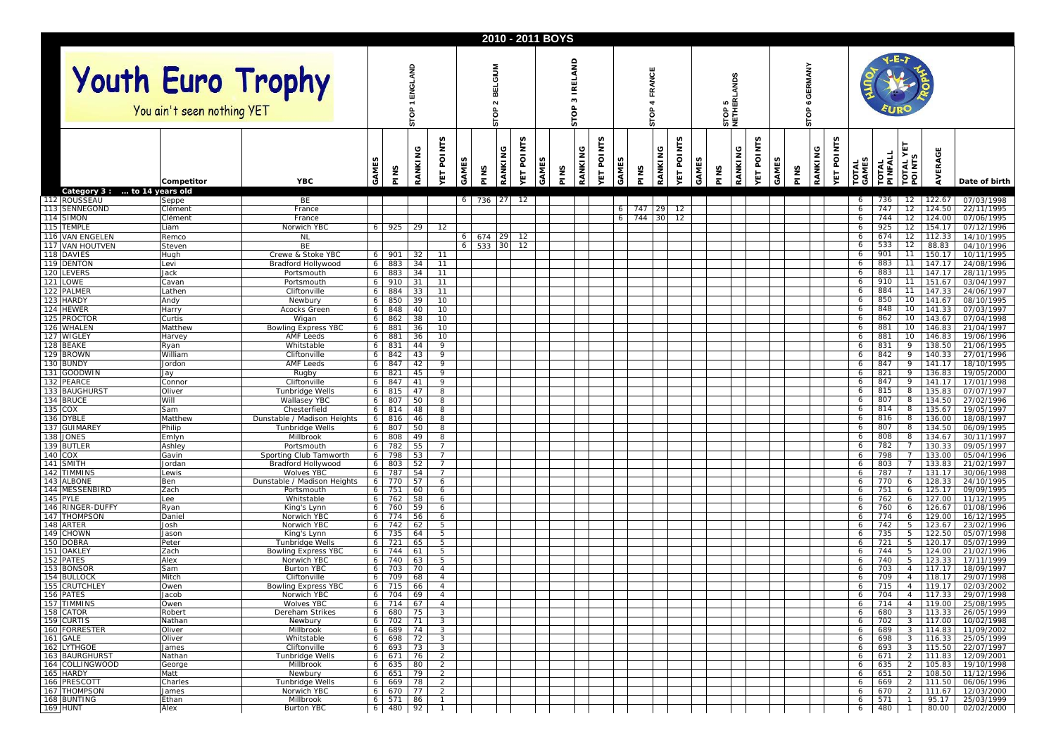|            |                                     |                            |                                                  |        |                      |          |                         |       |                             |                 |                       |       | 2010 - 2011 BOYS |         |                       |       |                  |         |                   |               |                            |                       |       |                                                |         |                   |                |                         |                              |                      |                          |
|------------|-------------------------------------|----------------------------|--------------------------------------------------|--------|----------------------|----------|-------------------------|-------|-----------------------------|-----------------|-----------------------|-------|------------------|---------|-----------------------|-------|------------------|---------|-------------------|---------------|----------------------------|-----------------------|-------|------------------------------------------------|---------|-------------------|----------------|-------------------------|------------------------------|----------------------|--------------------------|
|            | <b>Youth Euro Trophy</b>            | You ain't seen nothing YET |                                                  |        |                      | ö<br>5   |                         |       | BELGIUM<br>$\sim$<br>ి<br>5 |                 |                       |       | LAND<br>힡<br>'n  |         |                       |       | FRANCE<br>g<br>능 |         |                   |               | LANDS<br>STOP 5<br>NETHERI |                       |       | ERMANY<br>ত<br>$\boldsymbol{\omega}$<br>ô<br>5 |         |                   |                |                         |                              |                      |                          |
|            | Category 3:  to 14 years old        | Competitor                 | YBC                                              | GAME   | PINS                 | RANKING  | w<br>POINT<br>ΥËΤ       | GAMES | PINS                        | RANKING         | n<br><b>YET POINT</b> | GAMES | PINS             | RANKING | n<br><b>VET POINT</b> | GAMES | PINS             | RANKING | w<br>POINT<br>УET | GAMES<br>PINS | RANKING                    | n<br><b>YET POINT</b> | GAMES | PINS                                           | RANKING | <b>YET POINTS</b> | TOTAL<br>GAMES | <b>TOTAL</b><br>PINFALL | ≻<br><b>TOTALY</b><br>POINTS | ERAGI                | Date of birth            |
|            | 112 ROUSSEAU                        | Seppe                      | BE                                               |        |                      |          |                         |       | 6 736 27 12                 |                 |                       |       |                  |         |                       |       |                  |         |                   |               |                            |                       |       |                                                |         |                   | 6              | 736                     |                              | 12 122.67            | 07/03/1998               |
|            | 113 SENNEGOND                       | Clément                    | France                                           |        |                      |          |                         |       |                             |                 |                       |       |                  |         |                       | 6     | 747 29           |         | 12                |               |                            |                       |       |                                                |         |                   | 6              | 747                     | 12                           | 124.50               | 22/11/1995               |
|            | 114 SIMON                           | Clément                    | France                                           |        |                      |          |                         |       |                             |                 |                       |       |                  |         |                       | 6     | 744 30           |         | 12                |               |                            |                       |       |                                                |         |                   | 6              | 744                     | 12                           | 124.00               | 07/06/1995               |
|            | 115 TEMPLE<br>116 VAN ENGELEN       | Liam<br>Remco              | Norwich YBC<br>NL                                | 6      | 925                  | 29       | 12                      | 6     | 674                         | 29              | 12                    |       |                  |         |                       |       |                  |         |                   |               |                            |                       |       |                                                |         |                   | 6<br>6         | 925<br>674              | 12<br>12                     | 154.17<br>112.33     | 07/12/1996<br>14/10/1995 |
|            | 117 VAN HOUTVEN                     | Steven                     | BE                                               |        |                      |          |                         | 6     | 533                         | 30 <sup>1</sup> | 12                    |       |                  |         |                       |       |                  |         |                   |               |                            |                       |       |                                                |         |                   | 6              | 533                     | 12                           | 88.83                | 04/10/1996               |
|            | 118 DAVIES                          | Hugh                       | Crewe & Stoke YBC                                | 6      | 901                  | 32       | 11                      |       |                             |                 |                       |       |                  |         |                       |       |                  |         |                   |               |                            |                       |       |                                                |         |                   | 6              | 901                     | 11                           | 150.17               | 10/11/1995               |
|            | 119 DENTON                          | Levi<br>Jack               | Bradford Hollywood<br>Portsmouth                 | 6      | 883                  | 34<br>34 | 11<br>11                |       |                             |                 |                       |       |                  |         |                       |       |                  |         |                   |               |                            |                       |       |                                                |         |                   | 6<br>6         | 883<br>883              | 11<br>11                     | 147.17<br>147.17     | 24/08/1996<br>28/11/1995 |
| 121        | 120 LEVERS<br>LOWE                  | Cavan                      | Portsmouth                                       | 6<br>6 | 883<br>910           | 31       | 11                      |       |                             |                 |                       |       |                  |         |                       |       |                  |         |                   |               |                            |                       |       |                                                |         |                   | 6              | 910                     | 11                           | 151.67               | 03/04/1997               |
| 122        | PALMER                              | Lathen                     | Cliftonville                                     | 6      | 884                  | 33       | 11                      |       |                             |                 |                       |       |                  |         |                       |       |                  |         |                   |               |                            |                       |       |                                                |         |                   | 6              | 884                     | 11                           | 147.33               | 24/06/1997               |
| 123        | HARDY                               | Andy                       | Newbury                                          | 6      | 850                  | 39       | 10                      |       |                             |                 |                       |       |                  |         |                       |       |                  |         |                   |               |                            |                       |       |                                                |         |                   | 6              | 850                     | 10                           | 141.67               | 08/10/1995               |
| 124        | <b>HEWER</b>                        | Harry                      | <b>Acocks Green</b>                              | 6      | 848                  | 40       | 10                      |       |                             |                 |                       |       |                  |         |                       |       |                  |         |                   |               |                            |                       |       |                                                |         |                   | 6              | 848                     | 10<br>10                     | 141.33               | 07/03/1997               |
|            | 125 PROCTOR<br>126 WHALEN           | Curtis<br>Matthew          | Wigan<br><b>Bowling Express YBC</b>              | 6<br>6 | 862<br>881           | 38<br>36 | 10<br>10                |       |                             |                 |                       |       |                  |         |                       |       |                  |         |                   |               |                            |                       |       |                                                |         |                   | 6<br>6         | 862<br>881              | 10                           | 143.67<br>146.83     | 07/04/1998<br>21/04/1997 |
|            | 127 WIGLEY                          | Harvey                     | <b>AMF Leeds</b>                                 | 6      | 881                  | 36       | 10                      |       |                             |                 |                       |       |                  |         |                       |       |                  |         |                   |               |                            |                       |       |                                                |         |                   | 6              | 881                     | 10                           | 146.83               | 19/06/1996               |
| 128        | <b>BEAKE</b>                        | Ryan                       | Whitstable                                       | 6      | 831                  | 44       | 9                       |       |                             |                 |                       |       |                  |         |                       |       |                  |         |                   |               |                            |                       |       |                                                |         |                   | 6              | 831                     | 9                            | 138.50               | 21/06/1995               |
|            | 129 BROWN                           | William                    | Cliftonville                                     | 6      | 842                  | 43       | 9                       |       |                             |                 |                       |       |                  |         |                       |       |                  |         |                   |               |                            |                       |       |                                                |         |                   | 6              | 842                     | 9                            | 140.33               | 27/01/1996               |
|            | 130 BUNDY                           | Jordon                     | <b>AMF Leeds</b><br>Rugby                        | 6<br>6 | 847                  | 42       | 9<br>9                  |       |                             |                 |                       |       |                  |         |                       |       |                  |         |                   |               |                            |                       |       |                                                |         |                   | 6<br>6         | 847<br>821              | 9<br>9                       | 141.17               | 18/10/1995<br>19/05/2000 |
| 131<br>132 | GOODWIN<br>PEARCE                   | Jay<br>Connor              | Cliftonville                                     | 6      | 821<br>847           | 45<br>41 | 9                       |       |                             |                 |                       |       |                  |         |                       |       |                  |         |                   |               |                            |                       |       |                                                |         |                   | 6              | 847                     | 9                            | 136.83<br>141.17     | 17/01/1998               |
| 133        | <b>BAUGHURST</b>                    | Oliver                     | <b>Tunbridge Wells</b>                           | 6      | 815                  | 47       | 8                       |       |                             |                 |                       |       |                  |         |                       |       |                  |         |                   |               |                            |                       |       |                                                |         |                   | 6              | 815                     | 8                            | 135.83               | 07/07/1997               |
|            | 134 BRUCE                           | Will                       | Wallasey YBC                                     | 6      | 807                  | 50       | 8                       |       |                             |                 |                       |       |                  |         |                       |       |                  |         |                   |               |                            |                       |       |                                                |         |                   | 6              | 807                     | 8                            | 134.50               | 27/02/1996               |
| 135        | COX                                 | Sam                        | Chesterfield                                     | 6      | 814                  | 48       | 8                       |       |                             |                 |                       |       |                  |         |                       |       |                  |         |                   |               |                            |                       |       |                                                |         |                   | 6              | 814                     | 8                            | 135.67               | 19/05/1997               |
| 136<br>137 | <b>DYBLE</b><br><b>GUIMAREY</b>     | Matthew<br>Philip          | Dunstable / Madison Heights<br>Tunbridge Wells   | 6<br>6 | 816<br>807           | 46<br>50 | 8<br>8                  |       |                             |                 |                       |       |                  |         |                       |       |                  |         |                   |               |                            |                       |       |                                                |         |                   | 6<br>6         | 816<br>807              | 8<br>8                       | 136.00<br>134.50     | 18/08/1997<br>06/09/1995 |
| 138        | JONES                               | Emlyn                      | Millbrook                                        | 6      | 808                  | 49       | 8                       |       |                             |                 |                       |       |                  |         |                       |       |                  |         |                   |               |                            |                       |       |                                                |         |                   | 6              | 808                     | 8                            | 134.67               | 30/11/1997               |
|            | 139 BUTLER                          | Ashley                     | Portsmouth                                       | 6      | 782                  | 55       |                         |       |                             |                 |                       |       |                  |         |                       |       |                  |         |                   |               |                            |                       |       |                                                |         |                   | 6              | 782                     |                              | 130.33               | 09/05/1997               |
| 140        | COX                                 | Gavin                      | Sporting Club Tamworth                           | 6      | 798                  | 53       |                         |       |                             |                 |                       |       |                  |         |                       |       |                  |         |                   |               |                            |                       |       |                                                |         |                   | 6              | 798                     |                              | 133.00               | 05/04/1996               |
| 141        | SMITH                               | Jordan                     | Bradford Hollywood                               | 6      | 803                  | 52       |                         |       |                             |                 |                       |       |                  |         |                       |       |                  |         |                   |               |                            |                       |       |                                                |         |                   | 6              | 803                     |                              | 133.83               | 21/02/1997               |
| 142<br>143 | TIMMINS<br><b>ALBONE</b>            | Lewis<br>Ben               | <b>Wolves YBC</b><br>Dunstable / Madison Heights | 6<br>6 | 787<br>770           | 54<br>57 | 6                       |       |                             |                 |                       |       |                  |         |                       |       |                  |         |                   |               |                            |                       |       |                                                |         |                   | 6<br>6         | 787<br>770              | 6                            | 131.17<br>128.33     | 30/06/1998<br>24/10/1995 |
|            | 144 MESSENBIRD                      | Zach                       | Portsmouth                                       | 6      | 751                  | 60       | 6                       |       |                             |                 |                       |       |                  |         |                       |       |                  |         |                   |               |                            |                       |       |                                                |         |                   | 6              | 751                     | 6                            | 125.17               | 09/09/1995               |
|            | 145 PYLE                            | Lee                        | Whitstable                                       | 6      | 762                  | 58       | 6                       |       |                             |                 |                       |       |                  |         |                       |       |                  |         |                   |               |                            |                       |       |                                                |         |                   | 6              | 762                     | 6                            | 127.00               | 11/12/1995               |
| 147        | 146 RINGER-DUFFY<br><b>THOMPSON</b> | Ryan                       | King's Lynn                                      | 6      | 760                  | 59       | 6                       |       |                             |                 |                       |       |                  |         |                       |       |                  |         |                   |               |                            |                       |       |                                                |         |                   | 6<br>6         | 760<br>774              | 6                            | 126.67               | 01/08/1996               |
|            | 148 ARTER                           | Daniel<br>Josh             | Norwich YBC<br>Norwich YBC                       | 6<br>6 | 774<br>742           | 56<br>62 | 6<br>5                  |       |                             |                 |                       |       |                  |         |                       |       |                  |         |                   |               |                            |                       |       |                                                |         |                   | 6              | 742                     | 6<br>5                       | 129.00<br>123.67     | 16/12/1995<br>23/02/1996 |
| 149        | <b>CHOWN</b>                        | Jason                      | King's Lynn                                      | 6      | 735                  | 64       | 5                       |       |                             |                 |                       |       |                  |         |                       |       |                  |         |                   |               |                            |                       |       |                                                |         |                   | 6              | 735                     | 5                            | 122.50               | 05/07/1998               |
|            | 150 DOBRA                           | Peter                      | Tunbridge Wells                                  | 6      | 721                  | 65       | 5                       |       |                             |                 |                       |       |                  |         |                       |       |                  |         |                   |               |                            |                       |       |                                                |         |                   | 6              | 721                     | 5                            | 120.17               | 05/07/1999               |
| 151        | <b>OAKLEY</b><br>152 PATES          | Zach<br>Alex               | <b>Bowling Express YBC</b><br>Norwich YBC        | 6<br>6 | 744<br>740           | 61<br>63 | 5<br>5                  |       |                             |                 |                       |       |                  |         |                       |       |                  |         |                   |               |                            |                       |       |                                                |         |                   | 6<br>6         | 744<br>740              | 5<br>5                       | 124.00<br>123.33     | 21/02/1996<br>17/11/1999 |
| 153        | <b>BONSOR</b>                       | Sam                        | <b>Burton YBC</b>                                | 6      | 703                  | 70       | $\overline{4}$          |       |                             |                 |                       |       |                  |         |                       |       |                  |         |                   |               |                            |                       |       |                                                |         |                   | 6              | 703                     | $\overline{4}$               | 117.17               | 18/09/1997               |
| 154        | <b>BULLOCK</b>                      | Mitch                      | Cliftonville                                     | 6      | 709                  | 68       | 4                       |       |                             |                 |                       |       |                  |         |                       |       |                  |         |                   |               |                            |                       |       |                                                |         |                   | 6              | 709                     | $\overline{4}$               | 118.17               | 29/07/1998               |
|            | 155 CRUTCHLEY                       | Owen                       | <b>Bowling Express YBC</b>                       | 6      | 715                  | 66       | 4                       |       |                             |                 |                       |       |                  |         |                       |       |                  |         |                   |               |                            |                       |       |                                                |         |                   | 6              | 715                     | 4                            | 119.17               | 02/03/2002               |
|            | 156 PATES<br>157 TIMMINS            | Jacob<br>Owen              | Norwich YBC<br>Wolves YBC                        | - 6 I  | 6 704 69 4<br>714 67 |          | $\overline{4}$          |       |                             |                 |                       |       |                  |         |                       |       |                  |         |                   |               |                            |                       |       |                                                |         |                   | 6<br>6         | 1704<br>714             |                              | 4 117.33<br>4 119.00 | 29/07/1998<br>25/08/1995 |
|            | 158 CATOR                           | Robert                     | Dereham Strikes                                  | 6      | 680 75               |          | $\overline{\mathbf{3}}$ |       |                             |                 |                       |       |                  |         |                       |       |                  |         |                   |               |                            |                       |       |                                                |         |                   | 6              | 680                     |                              | $3$   113.33         | 26/05/1999               |
|            | 159 CURTIS                          | Nathan                     | Newbury                                          | 6      | 702 71               |          | 3                       |       |                             |                 |                       |       |                  |         |                       |       |                  |         |                   |               |                            |                       |       |                                                |         |                   | 6              | 702                     | $\overline{3}$               | 117.00               | 10/02/1998               |
|            | 160 FORRESTER                       | Oliver                     | Millbrook                                        | 6      | 689 74               |          | $\overline{\mathbf{3}}$ |       |                             |                 |                       |       |                  |         |                       |       |                  |         |                   |               |                            |                       |       |                                                |         |                   | 6              | 689                     | 3                            | 114.83               | 11/09/2002               |
|            | 161 GALE<br>162 LYTHGOE             | Oliver<br>James            | Whitstable<br>Cliftonville                       | 6<br>6 | 698 72<br>693 73 3   |          | $\overline{\mathbf{3}}$ |       |                             |                 |                       |       |                  |         |                       |       |                  |         |                   |               |                            |                       |       |                                                |         |                   | 6<br>6         | 698<br>693              | $\overline{3}$<br>3          | 116.33<br>115.50     | 25/05/1999<br>22/07/1997 |
|            | 163 BAURGHURST                      | Nathan                     | Tunbridge Wells                                  | 6      | 671 76               |          | $\overline{2}$          |       |                             |                 |                       |       |                  |         |                       |       |                  |         |                   |               |                            |                       |       |                                                |         |                   | 6              | 671                     | $\overline{2}$               | 111.83               | 12/09/2001               |
|            | 164 COLLINGWOOD                     | George                     | Millbrook                                        | 6      | 635 80               |          | $\overline{2}$          |       |                             |                 |                       |       |                  |         |                       |       |                  |         |                   |               |                            |                       |       |                                                |         |                   | 6              | 635                     | $\overline{2}$               | 105.83               | 19/10/1998               |
|            | 165 HARDY                           | Matt                       | Newbury                                          | 6      | 651 79               |          | $\overline{2}$          |       |                             |                 |                       |       |                  |         |                       |       |                  |         |                   |               |                            |                       |       |                                                |         |                   | 6              | 651                     | 2                            | 108.50               | 11/12/1996               |
|            | 166 PRESCOTT<br>167 THOMPSON        | Charles<br>James           | Tunbridge Wells<br>Norwich YBC                   | 6<br>6 | 669 78<br>670 77 2   |          | 2                       |       |                             |                 |                       |       |                  |         |                       |       |                  |         |                   |               |                            |                       |       |                                                |         |                   | 6              | 669<br>6 670            | $\mathcal{P}$<br>2           | 111.50<br>111.67     | 06/06/1996<br>12/03/2000 |
|            | 168 BUNTING                         | Ethan                      | Millbrook                                        | 6      | 571 86               |          | $\overline{1}$          |       |                             |                 |                       |       |                  |         |                       |       |                  |         |                   |               |                            |                       |       |                                                |         |                   |                | 6 571                   | $\mathbf{1}$                 | 95.17                | 25/03/1999               |
|            | 169 HUNT                            | Alex                       | Burton YBC                                       |        | 6 480 92 1           |          |                         |       |                             |                 |                       |       |                  |         |                       |       |                  |         |                   |               |                            |                       |       |                                                |         |                   | 6              | 480                     | $\overline{1}$               | 80.00                | 02/02/2000               |